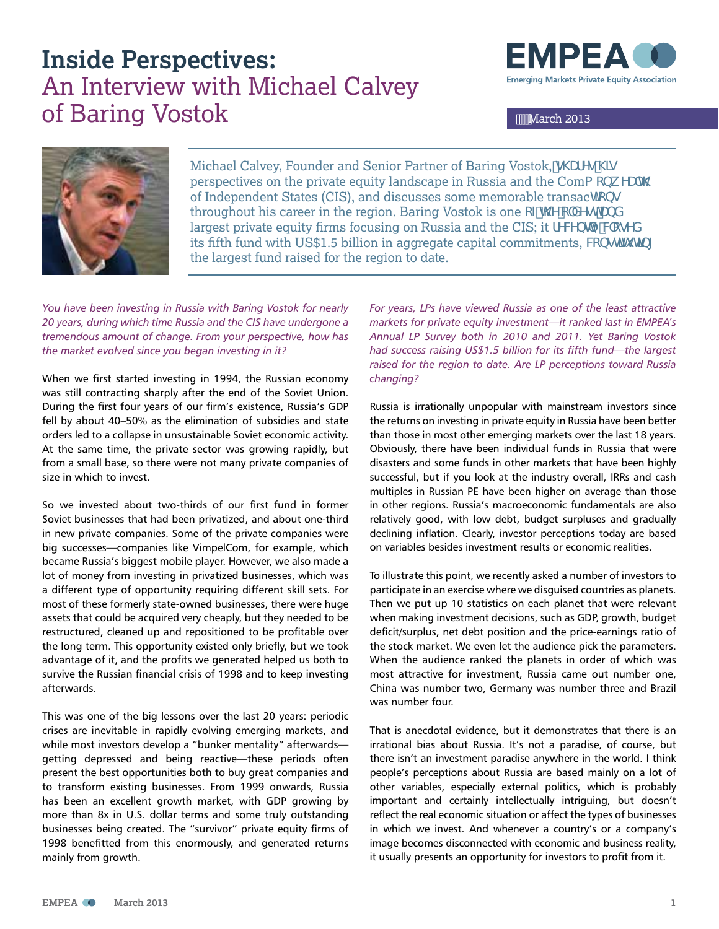### **Inside Perspectives:**  An Interview with Michael Calvey of Baring Vostok March 2013





Michael Calvey, Founder and Senior Partner of Baring Vostok,  $g\Upsilon Yg\Upsilon g$ perspectives on the private equity landscape in Russia and the Coma cbk YUh of Independent States (CIS), and discusses some memorable transachcog throughout his career in the region. Baring Vostok is one cZh Yc XYghUbX largest private equity firms focusing on Russia and the CIS; it fYWbhmWcgYX its fifth fund with US\$1.5 billion in aggregate capital commitments, Wbghh Hb[ the largest fund raised for the region to date.

*You have been investing in Russia with Baring Vostok for nearly 20 years, during which time Russia and the CIS have undergone a tremendous amount of change. From your perspective, how has the market evolved since you began investing in it?*

When we first started investing in 1994, the Russian economy was still contracting sharply after the end of the Soviet Union. During the first four years of our firm's existence, Russia's GDP fell by about 40–50% as the elimination of subsidies and state orders led to a collapse in unsustainable Soviet economic activity. At the same time, the private sector was growing rapidly, but from a small base, so there were not many private companies of size in which to invest.

So we invested about two-thirds of our first fund in former Soviet businesses that had been privatized, and about one-third in new private companies. Some of the private companies were big successes—companies like VimpelCom, for example, which became Russia's biggest mobile player. However, we also made a lot of money from investing in privatized businesses, which was a different type of opportunity requiring different skill sets. For most of these formerly state-owned businesses, there were huge assets that could be acquired very cheaply, but they needed to be restructured, cleaned up and repositioned to be profitable over the long term. This opportunity existed only briefly, but we took advantage of it, and the profits we generated helped us both to survive the Russian financial crisis of 1998 and to keep investing afterwards.

This was one of the big lessons over the last 20 years: periodic crises are inevitable in rapidly evolving emerging markets, and while most investors develop a "bunker mentality" afterwards getting depressed and being reactive—these periods often present the best opportunities both to buy great companies and to transform existing businesses. From 1999 onwards, Russia has been an excellent growth market, with GDP growing by more than 8x in U.S. dollar terms and some truly outstanding businesses being created. The "survivor" private equity firms of 1998 benefitted from this enormously, and generated returns mainly from growth.

*For years, LPs have viewed Russia as one of the least attractive markets for private equity investment—it ranked last in EMPEA's Annual LP Survey both in 2010 and 2011. Yet Baring Vostok had success raising US\$1.5 billion for its fifth fund—the largest raised for the region to date. Are LP perceptions toward Russia changing?*

Russia is irrationally unpopular with mainstream investors since the returns on investing in private equity in Russia have been better than those in most other emerging markets over the last 18 years. Obviously, there have been individual funds in Russia that were disasters and some funds in other markets that have been highly successful, but if you look at the industry overall, IRRs and cash multiples in Russian PE have been higher on average than those in other regions. Russia's macroeconomic fundamentals are also relatively good, with low debt, budget surpluses and gradually declining inflation. Clearly, investor perceptions today are based on variables besides investment results or economic realities.

To illustrate this point, we recently asked a number of investors to participate in an exercise where we disguised countries as planets. Then we put up 10 statistics on each planet that were relevant when making investment decisions, such as GDP, growth, budget deficit/surplus, net debt position and the price-earnings ratio of the stock market. We even let the audience pick the parameters. When the audience ranked the planets in order of which was most attractive for investment, Russia came out number one, China was number two, Germany was number three and Brazil was number four.

That is anecdotal evidence, but it demonstrates that there is an irrational bias about Russia. It's not a paradise, of course, but there isn't an investment paradise anywhere in the world. I think people's perceptions about Russia are based mainly on a lot of other variables, especially external politics, which is probably important and certainly intellectually intriguing, but doesn't reflect the real economic situation or affect the types of businesses in which we invest. And whenever a country's or a company's image becomes disconnected with economic and business reality, it usually presents an opportunity for investors to profit from it.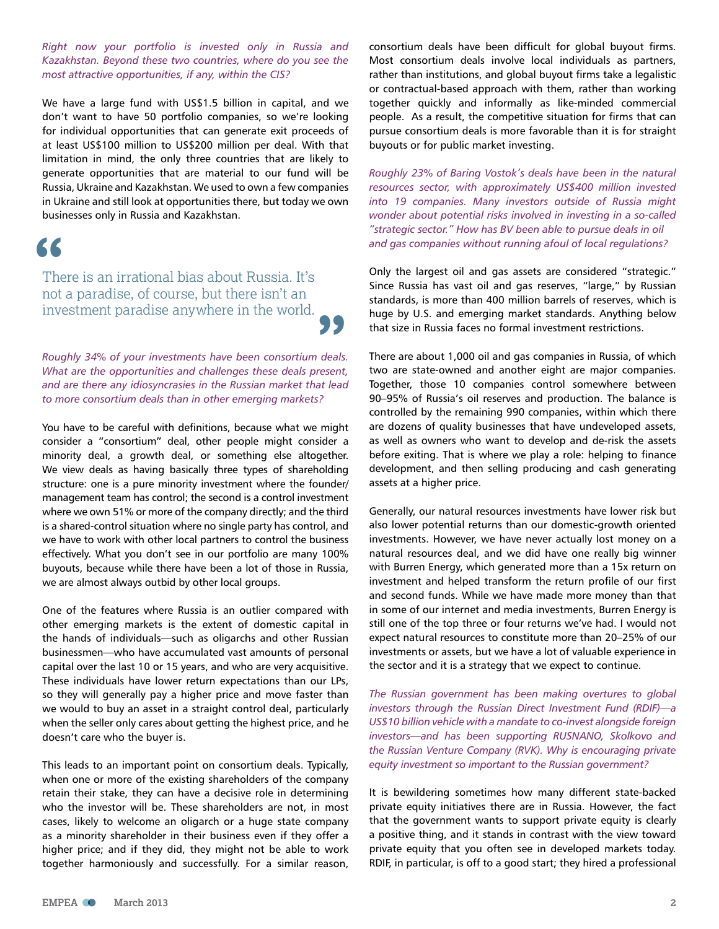*Right now your portfolio is invested only in Russia and Kazakhstan. Beyond these two countries, where do you see the most attractive opportunities, if any, within the CIS?*

We have a large fund with US\$1.5 billion in capital, and we don't want to have 50 portfolio companies, so we're looking for individual opportunities that can generate exit proceeds of at least US\$100 million to US\$200 million per deal. With that limitation in mind, the only three countries that are likely to generate opportunities that are material to our fund will be Russia, Ukraine and Kazakhstan. We used to own a few companies in Ukraine and still look at opportunities there, but today we own businesses only in Russia and Kazakhstan.

## **"**

There is an irrational bias about Russia. It's not a paradise, of course, but there isn't an investment paradise anywhere in the world.

*Roughly 34% of your investments have been consortium deals. What are the opportunities and challenges these deals present, and are there any idiosyncrasies in the Russian market that lead to more consortium deals than in other emerging markets?*

**"**

You have to be careful with definitions, because what we might consider a "consortium" deal, other people might consider a minority deal, a growth deal, or something else altogether. We view deals as having basically three types of shareholding structure: one is a pure minority investment where the founder/ management team has control; the second is a control investment where we own 51% or more of the company directly; and the third is a shared-control situation where no single party has control, and we have to work with other local partners to control the business effectively. What you don't see in our portfolio are many 100% buyouts, because while there have been a lot of those in Russia, we are almost always outbid by other local groups.

One of the features where Russia is an outlier compared with other emerging markets is the extent of domestic capital in the hands of individuals—such as oligarchs and other Russian businessmen—who have accumulated vast amounts of personal capital over the last 10 or 15 years, and who are very acquisitive. These individuals have lower return expectations than our LPs, so they will generally pay a higher price and move faster than we would to buy an asset in a straight control deal, particularly when the seller only cares about getting the highest price, and he doesn't care who the buyer is.

This leads to an important point on consortium deals. Typically, when one or more of the existing shareholders of the company retain their stake, they can have a decisive role in determining who the investor will be. These shareholders are not, in most cases, likely to welcome an oligarch or a huge state company as a minority shareholder in their business even if they offer a higher price; and if they did, they might not be able to work together harmoniously and successfully. For a similar reason,

consortium deals have been difficult for global buyout firms. Most consortium deals involve local individuals as partners, rather than institutions, and global buyout firms take a legalistic or contractual-based approach with them, rather than working together quickly and informally as like-minded commercial people. As a result, the competitive situation for firms that can pursue consortium deals is more favorable than it is for straight buyouts or for public market investing.

*Roughly 23% of Baring Vostok's deals have been in the natural resources sector, with approximately US\$400 million invested into 19 companies. Many investors outside of Russia might wonder about potential risks involved in investing in a so-called "strategic sector." How has BV been able to pursue deals in oil and gas companies without running afoul of local regulations?*

Only the largest oil and gas assets are considered "strategic." Since Russia has vast oil and gas reserves, "large," by Russian standards, is more than 400 million barrels of reserves, which is huge by U.S. and emerging market standards. Anything below that size in Russia faces no formal investment restrictions.

There are about 1,000 oil and gas companies in Russia, of which two are state-owned and another eight are major companies. Together, those 10 companies control somewhere between 90–95% of Russia's oil reserves and production. The balance is controlled by the remaining 990 companies, within which there are dozens of quality businesses that have undeveloped assets, as well as owners who want to develop and de-risk the assets before exiting. That is where we play a role: helping to finance development, and then selling producing and cash generating assets at a higher price.

Generally, our natural resources investments have lower risk but also lower potential returns than our domestic-growth oriented investments. However, we have never actually lost money on a natural resources deal, and we did have one really big winner with Burren Energy, which generated more than a 15x return on investment and helped transform the return profile of our first and second funds. While we have made more money than that in some of our internet and media investments, Burren Energy is still one of the top three or four returns we've had. I would not expect natural resources to constitute more than 20–25% of our investments or assets, but we have a lot of valuable experience in the sector and it is a strategy that we expect to continue.

*The Russian government has been making overtures to global investors through the Russian Direct Investment Fund (RDIF)—a US\$10 billion vehicle with a mandate to co-invest alongside foreign investors—and has been supporting RUSNANO, Skolkovo and the Russian Venture Company (RVK). Why is encouraging private equity investment so important to the Russian government?*

It is bewildering sometimes how many different state-backed private equity initiatives there are in Russia. However, the fact that the government wants to support private equity is clearly a positive thing, and it stands in contrast with the view toward private equity that you often see in developed markets today. RDIF, in particular, is off to a good start; they hired a professional